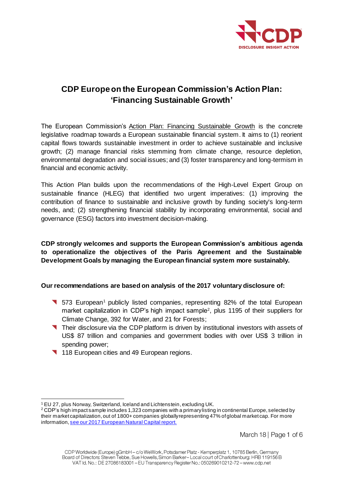

# **CDP Europeon the European Commission's Action Plan: 'Financing Sustainable Growth'**

The European Commission's [Action Plan: Financing Sustainable Growth](http://eur-lex.europa.eu/legal-content/EN/TXT/PDF/?uri=CELEX:52018DC0097&from=EN) is the concrete legislative roadmap towards a European sustainable financial system. It aims to (1) reorient capital flows towards sustainable investment in order to achieve sustainable and inclusive growth; (2) manage financial risks stemming from climate change, resource depletion, environmental degradation and social issues; and (3) foster transparency and long-termism in financial and economic activity.

This Action Plan builds upon the recommendations of the High-Level Expert Group on sustainable finance (HLEG) that identified two urgent imperatives: (1) improving the contribution of finance to sustainable and inclusive growth by funding society's long-term needs, and; (2) strengthening financial stability by incorporating environmental, social and governance (ESG) factors into investment decision-making.

# **CDP strongly welcomes and supports the European Commission's ambitious agenda to operationalize the objectives of the Paris Agreement and the Sustainable Development Goals by managing the European financial system more sustainably.**

#### **Our recommendations are based on analysis of the 2017 voluntary disclosure of:**

- **T** 573 European<sup>1</sup> publicly listed companies, representing 82% of the total European market capitalization in CDP's high impact sample<sup>2</sup>, plus 1195 of their suppliers for Climate Change, 392 for Water, and 21 for Forests;
- **Their disclosure via the CDP platform is driven by institutional investors with assets of** US\$ 87 trillion and companies and government bodies with over US\$ 3 trillion in spending power;
- 118 European cities and 49 European regions.

 $\overline{a}$ <sup>1</sup> EU 27, plus Norway, Switzerland, Iceland and Lichtenstein, excluding UK.

<sup>2</sup> CDP's high impact sample includes 1,323 companies with a primary listing in continental Europe, selected by their market capitalization, out of 1800+ companies globally representing 47% of global market cap. For more information[, see our 2017 European Natural Capital report.](http://www.cdp.net/europeanreport)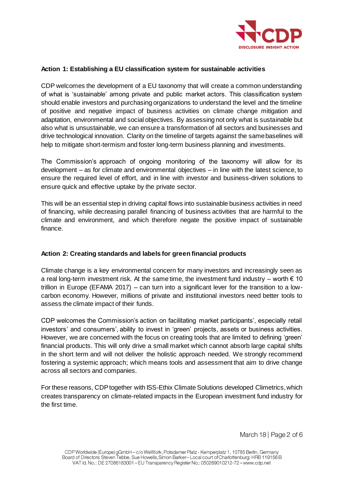

## **Action 1: Establishing a EU classification system for sustainable activities**

CDP welcomes the development of a EU taxonomy that will create a common understanding of what is 'sustainable' among private and public market actors. This classification system should enable investors and purchasing organizations to understand the level and the timeline of positive and negative impact of business activities on climate change mitigation and adaptation, environmental and social objectives. By assessing not only what is sustainable but also what is unsustainable, we can ensure a transformation of all sectors and businesses and drive technological innovation. Clarity on the timeline of targets against the same baselines will help to mitigate short-termism and foster long-term business planning and investments.

The Commission's approach of ongoing monitoring of the taxonomy will allow for its development – as for climate and environmental objectives – in line with the latest science, to ensure the required level of effort, and in line with investor and business-driven solutions to ensure quick and effective uptake by the private sector.

This will be an essential step in driving capital flows into sustainable business activities in need of financing, while decreasing parallel financing of business activities that are harmful to the climate and environment, and which therefore negate the positive impact of sustainable finance.

#### **Action 2: Creating standards and labels for green financial products**

Climate change is a key environmental concern for many investors and increasingly seen as a real long-term investment risk. At the same time, the investment fund industry – worth  $\epsilon$  10 trillion in Europe (EFAMA 2017) – can turn into a significant lever for the transition to a lowcarbon economy. However, millions of private and institutional investors need better tools to assess the climate impact of their funds.

CDP welcomes the Commission's action on facilitating market participants', especially retail investors' and consumers', ability to invest in 'green' projects, assets or business activities. However, we are concerned with the focus on creating tools that are limited to defining 'green' financial products. This will only drive a small market which cannot absorb large capital shifts in the short term and will not deliver the holistic approach needed. We strongly recommend fostering a systemic approach; which means tools and assessment that aim to drive change across all sectors and companies.

For these reasons, CDP together with ISS-Ethix Climate Solutions developed Climetrics, which creates transparency on climate-related impacts in the European investment fund industry for the first time.

March 18 | Page 2 of 6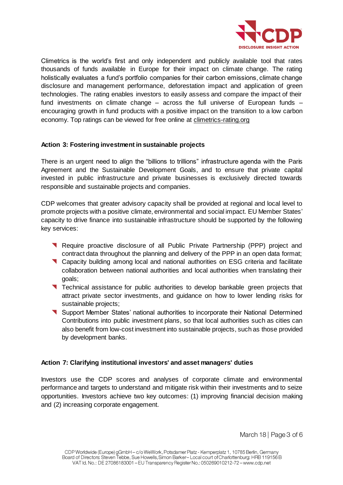

Climetrics is the world's first and only independent and publicly available tool that rates thousands of funds available in Europe for their impact on climate change. The rating holistically evaluates a fund's portfolio companies for their carbon emissions, climate change disclosure and management performance, deforestation impact and application of green technologies. The rating enables investors to easily assess and compare the impact of their fund investments on climate change – across the full universe of European funds – encouraging growth in fund products with a positive impact on the transition to a low carbon economy. Top ratings can be viewed for free online a[t climetrics-rating.org](http://www.climetrics-rating.org/)

## **Action 3: Fostering investment in sustainable projects**

There is an urgent need to align the "billions to trillions" infrastructure agenda with the Paris Agreement and the Sustainable Development Goals, and to ensure that private capital invested in public infrastructure and private businesses is exclusively directed towards responsible and sustainable projects and companies.

CDP welcomes that greater advisory capacity shall be provided at regional and local level to promote projects with a positive climate, environmental and social impact. EU Member States' capacity to drive finance into sustainable infrastructure should be supported by the following key services:

- **Require proactive disclosure of all Public Private Partnership (PPP) project and** contract data throughout the planning and delivery of the PPP in an open data format;
- Capacity building among local and national authorities on ESG criteria and facilitate collaboration between national authorities and local authorities when translating their goals;
- Technical assistance for public authorities to develop bankable green projects that attract private sector investments, and guidance on how to lower lending risks for sustainable projects;
- Support Member States' national authorities to incorporate their National Determined Contributions into public investment plans, so that local authorities such as cities can also benefit from low-cost investment into sustainable projects, such as those provided by development banks.

#### **Action 7: Clarifying institutional investors' and asset managers' duties**

Investors use the CDP scores and analyses of corporate climate and environmental performance and targets to understand and mitigate risk within their investments and to seize opportunities. Investors achieve two key outcomes: (1) improving financial decision making and (2) increasing corporate engagement.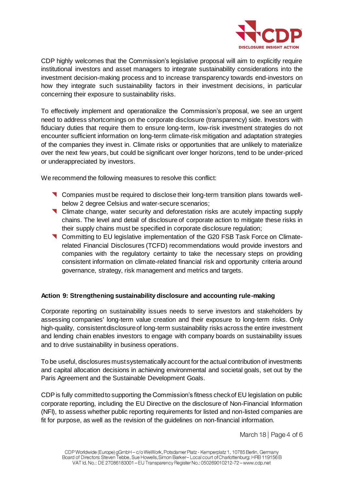

CDP highly welcomes that the Commission's legislative proposal will aim to explicitly require institutional investors and asset managers to integrate sustainability considerations into the investment decision-making process and to increase transparency towards end-investors on how they integrate such sustainability factors in their investment decisions, in particular concerning their exposure to sustainability risks.

To effectively implement and operationalize the Commission's proposal, we see an urgent need to address shortcomings on the corporate disclosure (transparency) side. Investors with fiduciary duties that require them to ensure long-term, low-risk investment strategies do not encounter sufficient information on long-term climate-risk mitigation and adaptation strategies of the companies they invest in. Climate risks or opportunities that are unlikely to materialize over the next few years, but could be significant over longer horizons, tend to be under-priced or underappreciated by investors.

We recommend the following measures to resolve this conflict:

- Companies must be required to disclose their long-term transition plans towards wellbelow 2 degree Celsius and water-secure scenarios;
- Climate change, water security and deforestation risks are acutely impacting supply chains. The level and detail of disclosure of corporate action to mitigate these risks in their supply chains must be specified in corporate disclosure regulation;
- Committing to EU legislative implementation of the G20 FSB Task Force on Climaterelated Financial Disclosures (TCFD) recommendations would provide investors and companies with the regulatory certainty to take the necessary steps on providing consistent information on climate-related financial risk and opportunity criteria around governance, strategy, risk management and metrics and targets.

# **Action 9: Strengthening sustainability disclosure and accounting rule-making**

Corporate reporting on sustainability issues needs to serve investors and stakeholders by assessing companies' long-term value creation and their exposure to long-term risks. Only high-quality, consistent disclosure of long-term sustainability risks across the entire investment and lending chain enables investors to engage with company boards on sustainability issues and to drive sustainability in business operations.

To be useful, disclosures must systematically account for the actual contribution of investments and capital allocation decisions in achieving environmental and societal goals, set out by the Paris Agreement and the Sustainable Development Goals.

CDPis fully committed to supporting the Commission's fitness check of EU legislation on public corporate reporting, including the EU Directive on the disclosure of Non-Financial Information (NFI), to assess whether public reporting requirements for listed and non-listed companies are fit for purpose, as well as the revision of the guidelines on non-financial information.

March 18 | Page 4 of 6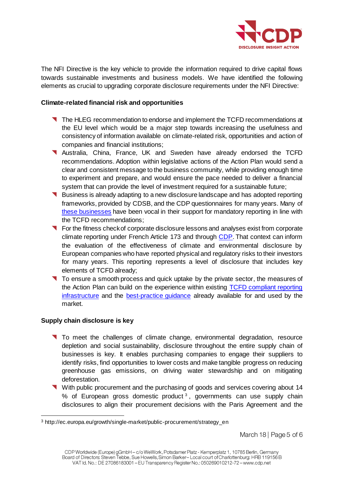

The NFI Directive is the key vehicle to provide the information required to drive capital flows towards sustainable investments and business models. We have identified the following elements as crucial to upgrading corporate disclosure requirements under the NFI Directive:

#### **Climate-related financial risk and opportunities**

- The HLEG recommendation to endorse and implement the TCFD recommendations at the EU level which would be a major step towards increasing the usefulness and consistency of information available on climate-related risk, opportunities and action of companies and financial institutions;
- Australia, China, France, UK and Sweden have already endorsed the TCFD recommendations. Adoption within legislative actions of the Action Plan would send a clear and consistent message to the business community, while providing enough time to experiment and prepare, and would ensure the pace needed to deliver a financial system that can provide the level of investment required for a sustainable future;
- Business is already adapting to a new disclosure landscape and has adopted reporting frameworks, provided by CDSB, and the CDP questionnaires for many years. Many of [these businesses](https://www.cdsb.net/press-room/task-force/722/global-leading-companies-commit-disclose-climate-risks-within-three-years) have been vocal in their support for mandatory reporting in line with the TCFD recommendations;
- **T** For the fitness check of corporate disclosure lessons and analyses exist from corporate climate reporting under French Article 173 and through [CDP](https://www.cdp.net/en/research/global-reports/europe-report-2017). That context can inform the evaluation of the effectiveness of climate and environmental disclosure by European companies who have reported physical and regulatory risks to their investors for many years. This reporting represents a level of disclosure that includes key elements of TCFD already;
- To ensure a smooth process and quick uptake by the private sector, the measures of the Action Plan can build on the experience within existing [TCFD compliant reporting](https://www.cdp.net/en/companies-discloser/disclosure-in-2018)  [infrastructure](https://www.cdp.net/en/companies-discloser/disclosure-in-2018) and the [best-practice guidance](https://www.cdsb.net/policy/788/new-paper-outlines-use-financial-accounting-standards-deliver-tcfd-recommendations) already available for and used by the market.

# **Supply chain disclosure is key**

 $\overline{a}$ 

- To meet the challenges of climate change, environmental degradation, resource depletion and social sustainability, disclosure throughout the entire supply chain of businesses is key. It enables purchasing companies to engage their suppliers to identify risks, find opportunities to lower costs and make tangible progress on reducing greenhouse gas emissions, on driving water stewardship and on mitigating deforestation.
- With public procurement and the purchasing of goods and services covering about 14 % of European gross domestic product<sup>3</sup>, governments can use supply chain disclosures to align their procurement decisions with the Paris Agreement and the

March 18 | Page 5 of 6

<sup>3</sup> http://ec.europa.eu/growth/single-market/public-procurement/strategy\_en